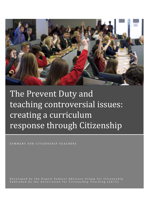

# The Prevent Duty and teaching controversial issues: creating a curriculum response through Citizenship

SUMMARY FOR CITIZENSHIP TEACHERS

D e v e l o p e d b y th e E x p e r t S u b j e c t A d v i s o r y G r o u p f o r Citiz e n s h i p P u b l i s h e d b y t h e Association for Citizenship Teaching (2015)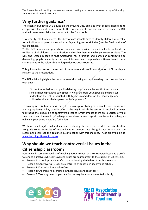# **Why further guidance?**

The recently published DFE advice on the Prevent Duty explains what schools should do to comply with their duties in relation to the prevention of terrorism and extremism. The DFE advice in essence explains two important roles for schools:

1. A security role that concerns the duty of care schools have to identify children vulnerable to radicalisation as part of their wider safeguarding responsibilities (see the final section of this guidance).

2. The DFE also encourages schools to undertake a wider educational role to build the resilience of all children to radicalisation and enable them to challenge extremist views. The DFE and Ofsted recognize that Citizenship has a unique and particular contribution to developing pupils' capacity as active, informed and responsible citizens based on a commitment to the values that underpin democratic citizenship.

This guidance focuses on the second of these roles and specific contribution of Citizenship in relation to the Prevent duty.

The DFE advice highlights the importance of discussing and not avoiding controversial issues with pupils.

"It is not intended to stop pupils debating controversial issues. On the contrary, schools should provide a safe space in which children, young people and staff can understand the risks associated with terrorism and develop the knowledge and skills to be able to challenge extremist arguments."

To accomplish this, teachers will need to use a range of strategies to handle issues sensitively and appropriately. A key consideration is the way in which the tension is resolved between facilitating the discussion of controversial issues (which implies there are a variety of valid viewpoints) and the need to challenge some views or even report them to senior colleagues (which implies some views are forbidden).

We have developed a fuller document explaining the ideas referred to in this checklist alongside some examples of lesson ideas to demonstrate the guidance in practice. We recommend you read this guidance in conjunction with this checklist. These are available at: [www.teachingcitizenship.org.uk](http://www.teachingcitizenship.org.uk/)

# **Why should we teach controversial issues in the Citizenship classroom?**

Before we discuss the specifics of teaching about Prevent as a controversial issue, it is useful to remind ourselves why controversial issues are so important to the subject of Citizenship.

- Reason 1: Schools provide a safe space to develop the habits of public discussion.
- Reason 2: Controversial issues are central to citizenship in society and school.
- Reason 3: Education is not value-free.
- Reason 4: Children are interested in these issues and ready for it!
- Reason 5: Teaching can compensate for the way issues are presented publicly.



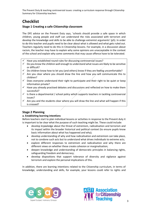# **Checklist**

# **Stage 1 Creating a safe Citizenship classroom**

The DFE advice on the Prevent Duty says, 'schools should provide a safe space in which children, young people and staff can understand the risks associated with terrorism and develop the knowledge and skills to be able to challenge extremist arguments' (p5). In order to do this teacher and pupils need to be clear about what is allowed and what gets ruled out. Teachers regularly need to do this in Citizenship lessons. For example, in a discussion about racism, the teacher may have to explain why some opinions are unacceptable in the context of the school and explain why some comments that may cause offence have to be tolerated.

- Have you established round rules for discussing controversial issues?
- Do you know the children well enough to understand what issues are likely to be sensitive or difficult?
- $\checkmark$  Do children know how to let you (and others) know if they are feeling uncomfortable?
- $\checkmark$  Are you clear where you should draw the line and how you will communicate this to children?
- $\checkmark$  Does everyone understand their right to participate and their right to be quiet or keep information private?
- $\checkmark$  Have you already practised debates and discussions and reflected on how to make them successful?
- $\checkmark$  is there a departmental / school policy which supports teachers in tackling controversial issues?
- $\checkmark$  Are you and the students clear where you will draw the line and what will happen if this is crossed?

# **Stage 2 Planning**

## **a. Establishing learning intentions**

Before teachers start to plan individual lessons or activities in response to the Prevent duty it is important to be clear what the purpose of such teaching might be. These could include:

- develop knowledge about the threat of extremism, radicalisation and terrorism and its impact within the broader historical and political context (to ensure pupils know basic information about what has happened and why);
- develop understanding of why and how radicalisation and extremism can take place, not to condone such acts but to understand what drives individuals to extreme acts;
- explore different responses to extremism and radicalisation and why there are different views on whether these create cohesion or marginalisation;
- deepen knowledge and understanding of democratic principles in balancing rights, safeguarding freedom and democracy;
- develop dispositions that support tolerance of diversity and vigilance against terrorism and explore the personal implications of this.

In addition, there are learning intentions related to the Citizenship curriculum, in terms of knowledge, understanding and skills, for example, your lessons could refer to rights and



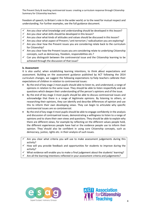freedom of speech; to Britain's role in the wider world; or to the need for mutual respect and understanding. For further examples, see the full guidance document.

- $\checkmark$  Are you clear what knowledge and understanding should be developed in this lesson?
- $\checkmark$  Are you clear what skills should be developed in this lesson?
- $\checkmark$  Are you clear what kinds of attitudes and values should be discussed in this lesson?
- $\checkmark$  Are you clear what aspect of Prevent / anti-terrorism / radicalisation you are exploring?
- $\checkmark$  Are you clear how the Prevent issues you are considering relate back to the curriculum for Citizenship?
- $\checkmark$  Are you clear how the Prevent issues you are considering relate to underlying Citizenship concepts, such as democracy, freedom, responsibilities etc.?
- $\checkmark$  Can you distinguish between the controversial issue and the Citizenship learning to be achieved through the discussion of that issue?

#### **b. Assessment**

It is also useful, when establishing learning intentions, to think about expectations and assessment. Building on the assessment guidance published by ACT following the 2014 curriculum changes, we suggest the following expectations to help teachers calibrate their expectations of children in relation to controversial issues:

- By the end of key stage 2 most pupils should able to listen to, and understand, a range of opinions in relation to the same issue. They should be able to listen respectfully and ask questions which deepen their understanding of the person's opinions and of the issue.
- By the end of key stage 3 most pupils should be able to discuss controversial issues and acknowledge that there is a range of legitimate opinions. By listening to others, or researching their opinions, they can identify and describe differences of opinion and use this to inform their own developing views. They can begin to articulate why specific controversial issues are so controversial.
- By the end of key stage 4 most pupils should be able to engage confidently in the analysis and discussion of controversial issues, demonstrating a willingness to listen to a range of opinions and to share their own views and questions. They should be able to explain why there are different views, for example by reflecting on the different values people hold, the different experiences people have had or the evidence people use to inform their opinion. They should also be confident in using core Citizenship concepts, such as democracy, justice, rights etc. in their analysis of such issues.
- Are you clear what criteria you will use to make assessment judgements during this activity?
- $\checkmark$  How will you provide feedback and opportunities for students to improve during the activity?
- What evidence will enable you to make a final judgement about the students' learning?
- Are all the learning intentions reflected in your assessment criteria and judgements?



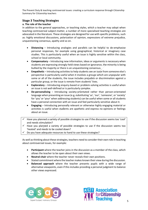## **Stage 3 Teaching Strategies**

#### **a. The role of the teacher**

In addition to the general approaches, or teaching styles, which a teacher may adopt when teaching controversial subject-matter, a number of more specialised teaching strategies are advocated in the literature. These strategies are designed for use with specific problems, such as: highly emotional discussions, polarization of opinion, expressions of extreme prejudice, unquestioning consensus, apathy and so on.

- **Distancing** Introducing analogies and parallels can be helpful to de-emphasise personal responses, for example using geographical, historical or imaginary case studies. This is particularly useful when an issue is highly sensitive within the class, school or local community.
- **Compensatory** Introducing new information, ideas or arguments is necessary when students are expressing strongly-held views based on ignorance, the minority is being bullied by the majority or there is an unquestioning consensus.
- **Empathetic**  Introducing activities to help students see an issue from someone else's perspective is particularly useful when it involves a groups which are unpopular with some or all of the students, the issue includes prejudice or discrimination against a particular group, or the issue is remote from students' lives.
- **Exploratory** Introducing enquiry-based or problem-solving activities is useful when an issue is not well-defined or is particularly complex.
- **De-personalising** Introducing society-orientated rather than person-orientated language when presenting an issue (e.g. substituting 'us', 'our', 'someone', or 'society' for 'you' or 'your' when addressing students) can be useful when some or all students have a personal connection with an issue and feel particularly sensitive about it.
- **Engaging** Introducing personally relevant or otherwise highly engaging material or activities is useful when students are apathetic and express no opinions or feelings about an issue.
- Have you planned a variety of possible strategies to use if the discussion seems too 'cool' and needs stimulation?
- $\checkmark$  Have you planned a variety of possible strategies to use if the discussion seems too 'heated' and needs to be cooled down?
- Do you have adequate resources to hand to use these strategies?

As well as thinking about these strategies, teachers need to consider their own role in teaching about controversial issues, for example:

- **Participant** where the teacher joins in the discussion as a member of the class, which allows the teacher to be open about their own views.
- **Neutral chair** where the teacher never reveals their own positions.
- Stated commitment where the teacher makes known their view during the discussion.
- **Balanced approach** where the teacher presents pupils with a wide range of alternative viewpoints, even if this includes providing a personal judgment to balance other views expressed.



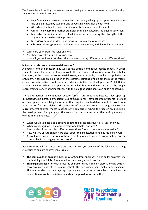- **Devil's advocate** involves the teacher consciously taking up an opposite position to the one expressed by students and advocating views they do not hold.
- **Ally** where the teacher takes the side of a student or group of students.
- Official line where the teacher promotes the side dictated by the public authorities.
- **Instructor** informing students of additional facts or testing the strength of their arguments as the discussion proceeds.
- **Interviewer** asking students questions to elicit a range of responses.
- **Observer** allowing students to debate with one another, with limited interventions.
- Which are your preferred roles and why?
- $\checkmark$  Are there any roles you will not use, why?
- $\checkmark$  How will you indicate to students that you are adopting different roles at different times?

## **b. Forms of talk: from debate to deliberation?**

A popular form of discussion may well be the simple competitive debate model, in which students speak for or against a proposal. This has many educational advantages but a limitation, in the context of controversial issues, is that it tends to simplify and polarize the argument. It favours an exploration of the extreme opinions, and de-emphasises the middle ground. An alternative way to approach debates is the model adopted in Model United Nations activities, where a proposal may be tabled, but amendments are made by people representing a variety of perspectives, with the aim that participants can build a consensus.

These alternatives to competitive debate formats are important because they open up discussions to be increasingly explorative and educational. They encourage students to reflect on their opinions as evolving ideas rather than require them to defend simplistic positions in a binary (for / against) debate. These models of discussion are also exciting because they mirror interesting experiments in deliberative democracy, where the focus is on discussion, the development of empathy and the search for compromise rather than a simple majority wins form of democracy.

- When would you use a competitive debate to discuss controversial issues, and why?
- $\checkmark$  When would you focus on more exploratory debates and why?
- $\checkmark$  Are you clear how the rules differ between these forms of debate and discussion?
- $\checkmark$  How will you ensure children are clear about the expectations and desired behaviours?
- $\checkmark$  As well as having alternatives for how to heat up or cool down the conversation, do you have a plan for managing the behaviour?

Aside from formal class discussions and debates, will you use any of the following teaching strategies to explore controversial issues?

- **The community of enquiry** (Philosophy for Children) approach, which builds on circle time methodology, which is often embedded in primary school practice.
- **Thinking skills activities** with prepared character cards / opinion pieces / media extracts can encourage students to examine critically their own and others thinking and reasoning.
- **Fictional stories** that are age appropriate can serve as an excellent route into the exploration of controversial issues and can help to develop empathy.